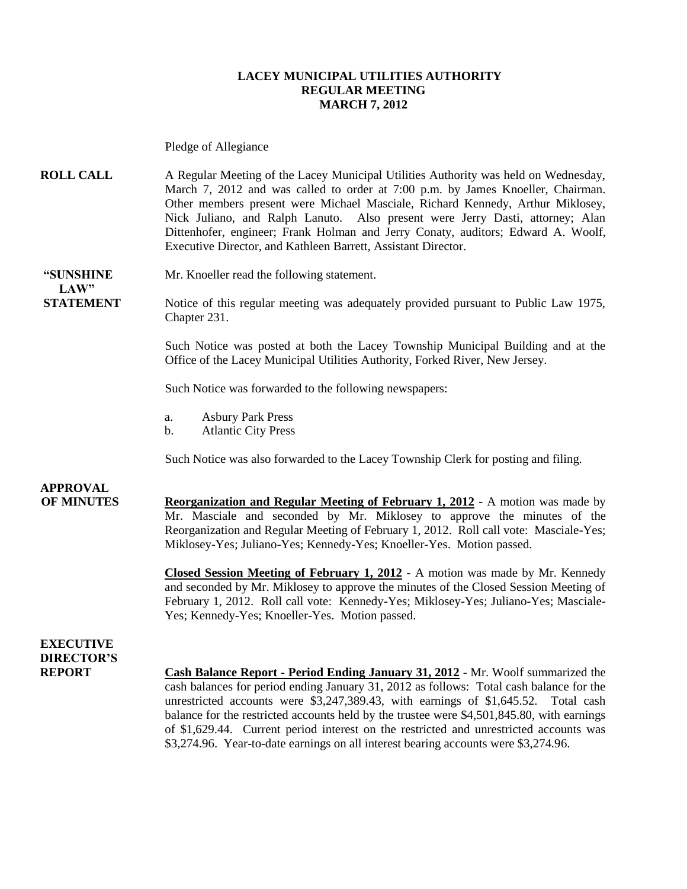#### **LACEY MUNICIPAL UTILITIES AUTHORITY REGULAR MEETING MARCH 7, 2012**

Pledge of Allegiance

**ROLL CALL** A Regular Meeting of the Lacey Municipal Utilities Authority was held on Wednesday, March 7, 2012 and was called to order at 7:00 p.m. by James Knoeller, Chairman. Other members present were Michael Masciale, Richard Kennedy, Arthur Miklosey, Nick Juliano, and Ralph Lanuto. Also present were Jerry Dasti, attorney; Alan Dittenhofer, engineer; Frank Holman and Jerry Conaty, auditors; Edward A. Woolf, Executive Director, and Kathleen Barrett, Assistant Director.

**"SUNSHINE** Mr. Knoeller read the following statement.

**STATEMENT** Notice of this regular meeting was adequately provided pursuant to Public Law 1975, Chapter 231.

> Such Notice was posted at both the Lacey Township Municipal Building and at the Office of the Lacey Municipal Utilities Authority, Forked River, New Jersey.

Such Notice was forwarded to the following newspapers:

- a. Asbury Park Press
- b. Atlantic City Press

Such Notice was also forwarded to the Lacey Township Clerk for posting and filing.

**APPROVAL**

 $LAW"$ 

**OF MINUTES Reorganization and Regular Meeting of February 1, 2012 -** A motion was made by Mr. Masciale and seconded by Mr. Miklosey to approve the minutes of the Reorganization and Regular Meeting of February 1, 2012. Roll call vote: Masciale-Yes; Miklosey-Yes; Juliano-Yes; Kennedy-Yes; Knoeller-Yes. Motion passed.

> **Closed Session Meeting of February 1, 2012 -** A motion was made by Mr. Kennedy and seconded by Mr. Miklosey to approve the minutes of the Closed Session Meeting of February 1, 2012. Roll call vote: Kennedy-Yes; Miklosey-Yes; Juliano-Yes; Masciale-Yes; Kennedy-Yes; Knoeller-Yes. Motion passed.

### **EXECUTIVE DIRECTOR'S**

**REPORT Cash Balance Report - Period Ending January 31, 2012** - Mr. Woolf summarized the cash balances for period ending January 31, 2012 as follows: Total cash balance for the unrestricted accounts were \$3,247,389.43, with earnings of \$1,645.52. Total cash balance for the restricted accounts held by the trustee were \$4,501,845.80, with earnings of \$1,629.44. Current period interest on the restricted and unrestricted accounts was \$3,274.96. Year-to-date earnings on all interest bearing accounts were \$3,274.96.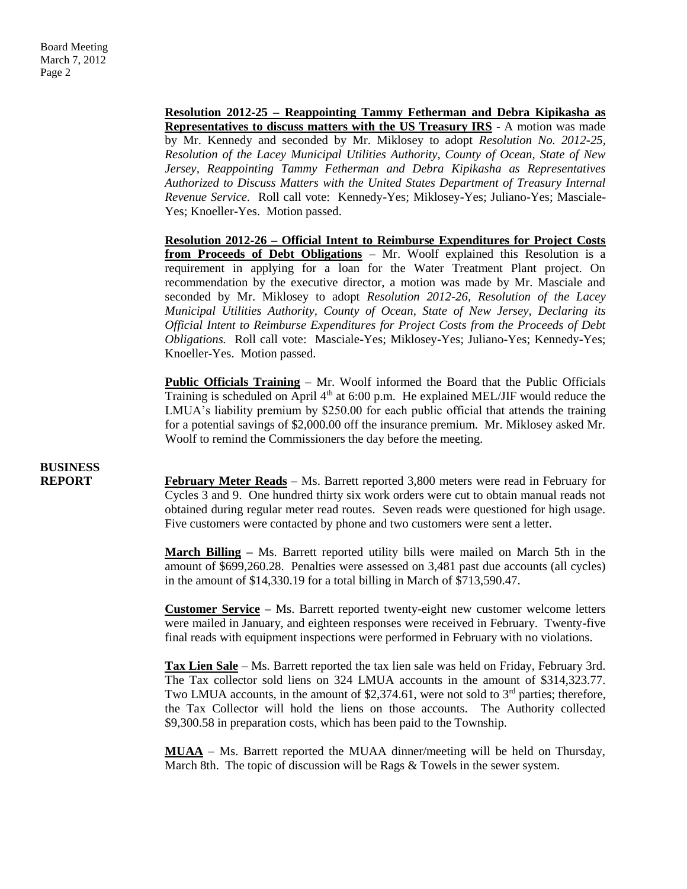**Resolution 2012-25 – Reappointing Tammy Fetherman and Debra Kipikasha as Representatives to discuss matters with the US Treasury IRS** - A motion was made by Mr. Kennedy and seconded by Mr. Miklosey to adopt *Resolution No. 2012-25, Resolution of the Lacey Municipal Utilities Authority, County of Ocean, State of New Jersey, Reappointing Tammy Fetherman and Debra Kipikasha as Representatives Authorized to Discuss Matters with the United States Department of Treasury Internal Revenue Service.* Roll call vote: Kennedy-Yes; Miklosey-Yes; Juliano-Yes; Masciale-Yes; Knoeller-Yes. Motion passed.

**Resolution 2012-26 – Official Intent to Reimburse Expenditures for Project Costs from Proceeds of Debt Obligations** – Mr. Woolf explained this Resolution is a requirement in applying for a loan for the Water Treatment Plant project. On recommendation by the executive director, a motion was made by Mr. Masciale and seconded by Mr. Miklosey to adopt *Resolution 2012-26, Resolution of the Lacey Municipal Utilities Authority, County of Ocean, State of New Jersey, Declaring its Official Intent to Reimburse Expenditures for Project Costs from the Proceeds of Debt Obligations.* Roll call vote: Masciale-Yes; Miklosey-Yes; Juliano-Yes; Kennedy-Yes; Knoeller-Yes. Motion passed.

**Public Officials Training** – Mr. Woolf informed the Board that the Public Officials Training is scheduled on April  $4<sup>th</sup>$  at 6:00 p.m. He explained MEL/JIF would reduce the LMUA's liability premium by \$250.00 for each public official that attends the training for a potential savings of \$2,000.00 off the insurance premium. Mr. Miklosey asked Mr. Woolf to remind the Commissioners the day before the meeting.

# **BUSINESS**

**REPORT** February Meter Reads – Ms. Barrett reported 3,800 meters were read in February for Cycles 3 and 9. One hundred thirty six work orders were cut to obtain manual reads not obtained during regular meter read routes. Seven reads were questioned for high usage. Five customers were contacted by phone and two customers were sent a letter.

> **March Billing –** Ms. Barrett reported utility bills were mailed on March 5th in the amount of \$699,260.28. Penalties were assessed on 3,481 past due accounts (all cycles) in the amount of \$14,330.19 for a total billing in March of \$713,590.47.

> **Customer Service –** Ms. Barrett reported twenty-eight new customer welcome letters were mailed in January, and eighteen responses were received in February. Twenty-five final reads with equipment inspections were performed in February with no violations.

> **Tax Lien Sale** – Ms. Barrett reported the tax lien sale was held on Friday, February 3rd. The Tax collector sold liens on 324 LMUA accounts in the amount of \$314,323.77. Two LMUA accounts, in the amount of \$2,374.61, were not sold to  $3<sup>rd</sup>$  parties; therefore, the Tax Collector will hold the liens on those accounts. The Authority collected \$9,300.58 in preparation costs, which has been paid to the Township.

> **MUAA** – Ms. Barrett reported the MUAA dinner/meeting will be held on Thursday, March 8th. The topic of discussion will be Rags & Towels in the sewer system.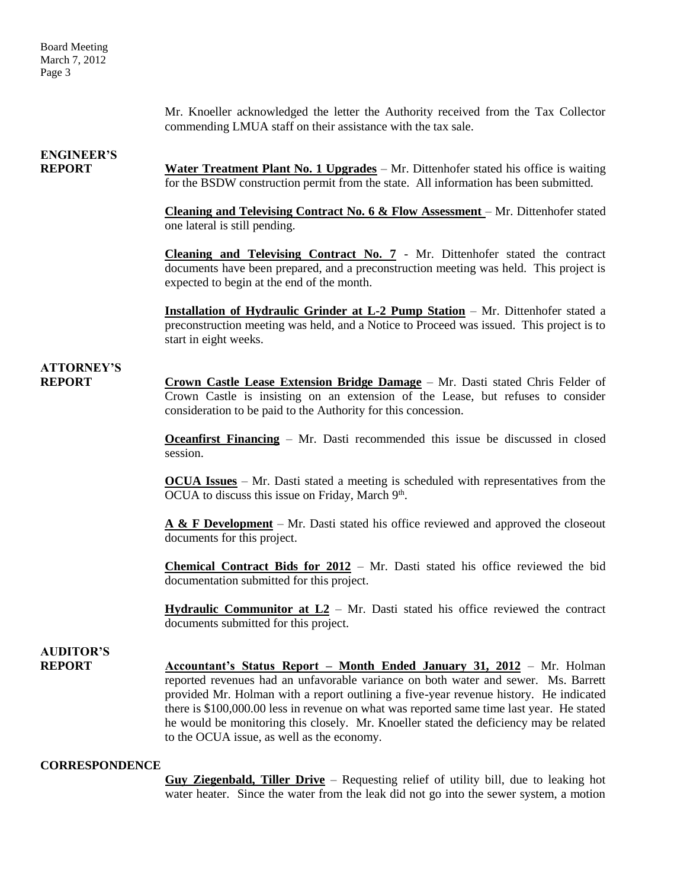Mr. Knoeller acknowledged the letter the Authority received from the Tax Collector commending LMUA staff on their assistance with the tax sale.

## **ENGINEER'S**

**REPORT Water Treatment Plant No. 1 Upgrades** – Mr. Dittenhofer stated his office is waiting for the BSDW construction permit from the state. All information has been submitted.

> **Cleaning and Televising Contract No. 6 & Flow Assessment** – Mr. Dittenhofer stated one lateral is still pending.

> **Cleaning and Televising Contract No. 7** - Mr. Dittenhofer stated the contract documents have been prepared, and a preconstruction meeting was held. This project is expected to begin at the end of the month.

> **Installation of Hydraulic Grinder at L-2 Pump Station** – Mr. Dittenhofer stated a preconstruction meeting was held, and a Notice to Proceed was issued. This project is to start in eight weeks.

### **ATTORNEY'S**

**REPORT Crown Castle Lease Extension Bridge Damage** – Mr. Dasti stated Chris Felder of Crown Castle is insisting on an extension of the Lease, but refuses to consider consideration to be paid to the Authority for this concession.

> **Oceanfirst Financing** – Mr. Dasti recommended this issue be discussed in closed session.

> **OCUA Issues** – Mr. Dasti stated a meeting is scheduled with representatives from the OCUA to discuss this issue on Friday, March  $9<sup>th</sup>$ .

> **A & F Development** – Mr. Dasti stated his office reviewed and approved the closeout documents for this project.

> **Chemical Contract Bids for 2012** – Mr. Dasti stated his office reviewed the bid documentation submitted for this project.

> **Hydraulic Communitor at L2** – Mr. Dasti stated his office reviewed the contract documents submitted for this project.

# **AUDITOR'S**

**REPORT Accountant's Status Report – Month Ended January 31, 2012** – Mr. Holman reported revenues had an unfavorable variance on both water and sewer. Ms. Barrett provided Mr. Holman with a report outlining a five-year revenue history. He indicated there is \$100,000.00 less in revenue on what was reported same time last year. He stated he would be monitoring this closely. Mr. Knoeller stated the deficiency may be related to the OCUA issue, as well as the economy.

#### **CORRESPONDENCE**

**Guy Ziegenbald, Tiller Drive** – Requesting relief of utility bill, due to leaking hot water heater. Since the water from the leak did not go into the sewer system, a motion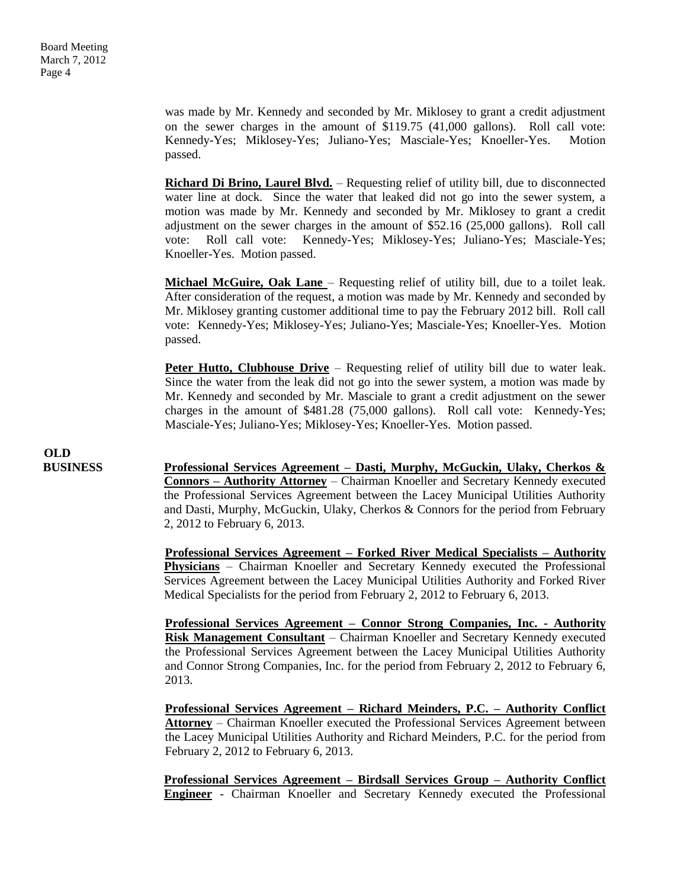was made by Mr. Kennedy and seconded by Mr. Miklosey to grant a credit adjustment on the sewer charges in the amount of \$119.75 (41,000 gallons). Roll call vote: Kennedy-Yes; Miklosey-Yes; Juliano-Yes; Masciale-Yes; Knoeller-Yes. Motion passed.

**Richard Di Brino, Laurel Blvd.** – Requesting relief of utility bill, due to disconnected water line at dock. Since the water that leaked did not go into the sewer system, a motion was made by Mr. Kennedy and seconded by Mr. Miklosey to grant a credit adjustment on the sewer charges in the amount of \$52.16 (25,000 gallons). Roll call vote: Roll call vote: Kennedy-Yes; Miklosey-Yes; Juliano-Yes; Masciale-Yes; Knoeller-Yes. Motion passed.

**Michael McGuire, Oak Lane** – Requesting relief of utility bill, due to a toilet leak. After consideration of the request, a motion was made by Mr. Kennedy and seconded by Mr. Miklosey granting customer additional time to pay the February 2012 bill. Roll call vote: Kennedy-Yes; Miklosey-Yes; Juliano-Yes; Masciale-Yes; Knoeller-Yes. Motion passed.

**Peter Hutto, Clubhouse Drive** – Requesting relief of utility bill due to water leak. Since the water from the leak did not go into the sewer system, a motion was made by Mr. Kennedy and seconded by Mr. Masciale to grant a credit adjustment on the sewer charges in the amount of \$481.28 (75,000 gallons). Roll call vote: Kennedy-Yes; Masciale-Yes; Juliano-Yes; Miklosey-Yes; Knoeller-Yes. Motion passed.

**OLD**

**BUSINESS Professional Services Agreement – Dasti, Murphy, McGuckin, Ulaky, Cherkos & Connors – Authority Attorney** – Chairman Knoeller and Secretary Kennedy executed the Professional Services Agreement between the Lacey Municipal Utilities Authority and Dasti, Murphy, McGuckin, Ulaky, Cherkos & Connors for the period from February 2, 2012 to February 6, 2013.

> **Professional Services Agreement – Forked River Medical Specialists – Authority Physicians** – Chairman Knoeller and Secretary Kennedy executed the Professional Services Agreement between the Lacey Municipal Utilities Authority and Forked River Medical Specialists for the period from February 2, 2012 to February 6, 2013.

> **Professional Services Agreement – Connor Strong Companies, Inc. - Authority Risk Management Consultant** – Chairman Knoeller and Secretary Kennedy executed the Professional Services Agreement between the Lacey Municipal Utilities Authority and Connor Strong Companies, Inc. for the period from February 2, 2012 to February 6, 2013.

> **Professional Services Agreement – Richard Meinders, P.C. – Authority Conflict Attorney** – Chairman Knoeller executed the Professional Services Agreement between the Lacey Municipal Utilities Authority and Richard Meinders, P.C. for the period from February 2, 2012 to February 6, 2013.

> **Professional Services Agreement – Birdsall Services Group – Authority Conflict Engineer** - Chairman Knoeller and Secretary Kennedy executed the Professional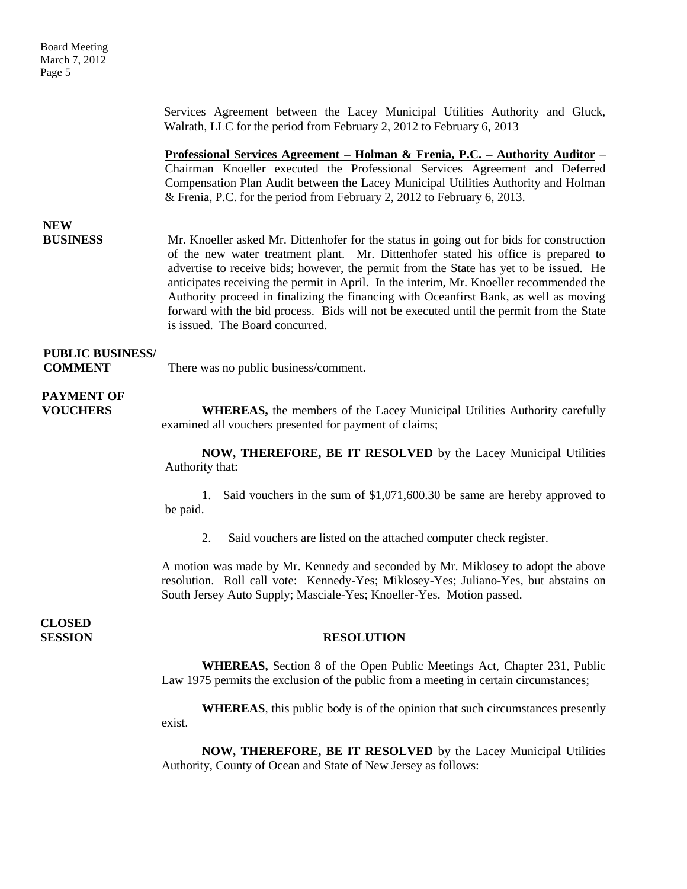| <b>Board Meeting</b><br>March 7, 2012<br>Page 5 |                                                                                                                                                                                                                                                                                                                                                                                                                                                                                                                                                                                            |
|-------------------------------------------------|--------------------------------------------------------------------------------------------------------------------------------------------------------------------------------------------------------------------------------------------------------------------------------------------------------------------------------------------------------------------------------------------------------------------------------------------------------------------------------------------------------------------------------------------------------------------------------------------|
|                                                 | Services Agreement between the Lacey Municipal Utilities Authority and Gluck,<br>Walrath, LLC for the period from February 2, 2012 to February 6, 2013                                                                                                                                                                                                                                                                                                                                                                                                                                     |
|                                                 | <u> Professional Services Agreement – Holman &amp; Frenia, P.C. – Authority Auditor – </u><br>Chairman Knoeller executed the Professional Services Agreement and Deferred<br>Compensation Plan Audit between the Lacey Municipal Utilities Authority and Holman<br>& Frenia, P.C. for the period from February 2, 2012 to February 6, 2013.                                                                                                                                                                                                                                                |
| <b>NEW</b><br><b>BUSINESS</b>                   | Mr. Knoeller asked Mr. Dittenhofer for the status in going out for bids for construction<br>of the new water treatment plant. Mr. Dittenhofer stated his office is prepared to<br>advertise to receive bids; however, the permit from the State has yet to be issued. He<br>anticipates receiving the permit in April. In the interim, Mr. Knoeller recommended the<br>Authority proceed in finalizing the financing with Oceanfirst Bank, as well as moving<br>forward with the bid process. Bids will not be executed until the permit from the State<br>is issued. The Board concurred. |
| <b>PUBLIC BUSINESS/</b><br><b>COMMENT</b>       | There was no public business/comment.                                                                                                                                                                                                                                                                                                                                                                                                                                                                                                                                                      |
| <b>PAYMENT OF</b><br><b>VOUCHERS</b>            | <b>WHEREAS</b> , the members of the Lacey Municipal Utilities Authority carefully<br>examined all vouchers presented for payment of claims;                                                                                                                                                                                                                                                                                                                                                                                                                                                |
|                                                 | NOW, THEREFORE, BE IT RESOLVED by the Lacey Municipal Utilities<br>Authority that:                                                                                                                                                                                                                                                                                                                                                                                                                                                                                                         |
|                                                 | 1. Said vouchers in the sum of \$1,071,600.30 be same are hereby approved to<br>be paid.                                                                                                                                                                                                                                                                                                                                                                                                                                                                                                   |
|                                                 | Said vouchers are listed on the attached computer check register.<br>2.                                                                                                                                                                                                                                                                                                                                                                                                                                                                                                                    |
|                                                 | A motion was made by Mr. Kennedy and seconded by Mr. Miklosey to adopt the above<br>resolution. Roll call vote: Kennedy-Yes; Miklosey-Yes; Juliano-Yes, but abstains on<br>South Jersey Auto Supply; Masciale-Yes; Knoeller-Yes. Motion passed.                                                                                                                                                                                                                                                                                                                                            |
| <b>CLOSED</b><br><b>SESSION</b>                 | <b>RESOLUTION</b>                                                                                                                                                                                                                                                                                                                                                                                                                                                                                                                                                                          |
|                                                 | WHEREAS, Section 8 of the Open Public Meetings Act, Chapter 231, Public<br>Law 1975 permits the exclusion of the public from a meeting in certain circumstances;                                                                                                                                                                                                                                                                                                                                                                                                                           |
|                                                 | <b>WHEREAS</b> , this public body is of the opinion that such circumstances presently<br>exist.                                                                                                                                                                                                                                                                                                                                                                                                                                                                                            |

**NOW, THEREFORE, BE IT RESOLVED** by the Lacey Municipal Utilities Authority, County of Ocean and State of New Jersey as follows: